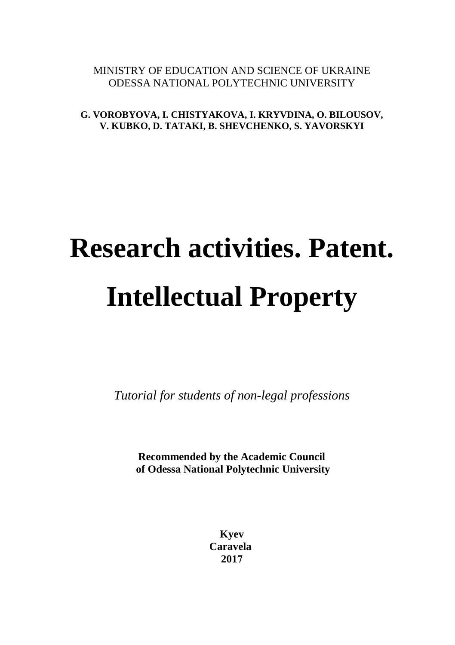#### MINISTRY OF EDUCATION AND SCIENCE OF UKRAINE ODESSA NATIONAL POLYTECHNIC UNIVERSITY

**G. VOROBYOVA, I. CHISTYAKOVA, I. KRYVDINA, O. BILOUSOV, V. KUBKO, D. TATAKI, B. SHEVCHENKO, S. YAVORSKYI** 

# **Research activities. Patent. Intellectual Property**

*Tutorial for students of non-legal professions* 

**Recommended by the Academic Council of Odessa National Polytechnic University**

> **Kyev Caravela 2017**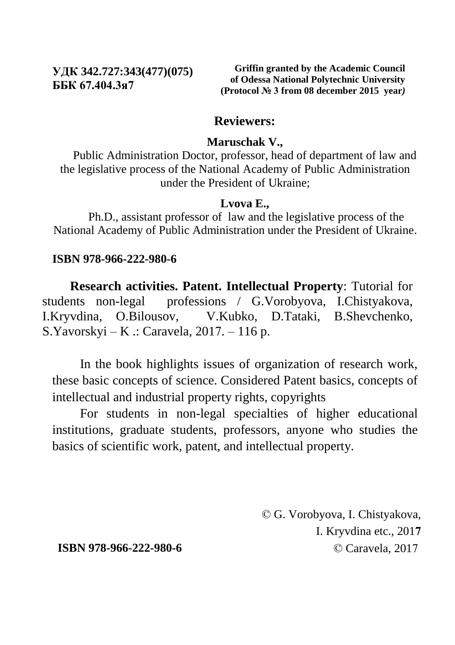#### **УДК 342.727:343(477)(075) ББК 67.404.3я7**

**Griffin granted by the Academic Council of Odessa National Polytechnic University (Protocol № 3 from 08 december 2015 year***)*

#### **Reviewers:**

#### **Maruschak V.,**

Public Administration Doctor, professor, head of department of law and the legislative process of the National Academy of Public Administration under the President of Ukraine;

#### **Lvova E.,**

Ph.D., assistant professor of law and the legislative process of the National Academy of Public Administration under the President of Ukraine.

#### **ISBN 978-966-222-980-6**

**Research activities. Patent. Intellectual Property**: Tutorial for students non-legal professions / G.Vorobyova, I.Chistyakova, I.Kryvdina, O.Bilousov, V.Kubko, D.Tataki, B.Shevchenko, S.Yavorskyi – K .: Caravela,  $2017. - 116$  p.

In the book highlights issues of organization of research work, these basic concepts of science. Considered Patent basics, concepts of intellectual and industrial property rights, copyrights

For students in non-legal specialties of higher educational institutions, graduate students, professors, anyone who studies the basics of scientific work, patent, and intellectual property.

> © G. Vorobyova, I. Chistyakova, I. Kryvdina etc., 201**7** © Caravela, 2017

**ISBN 978-966-222-980-6**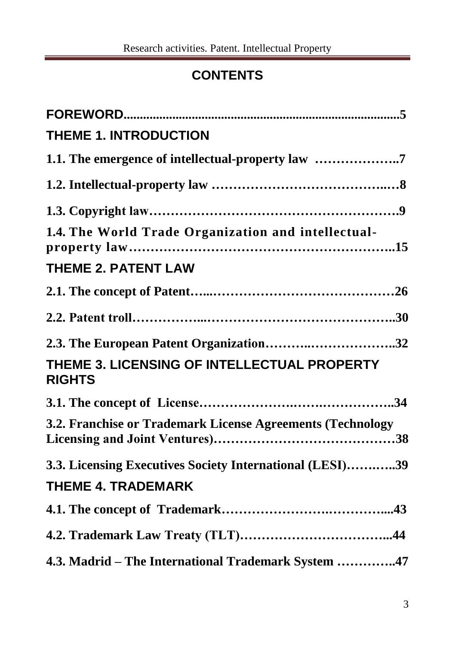### **CONTENTS**

| <b>THEME 1. INTRODUCTION</b>                                 |
|--------------------------------------------------------------|
| 1.1. The emergence of intellectual-property law 7            |
|                                                              |
|                                                              |
| 1.4. The World Trade Organization and intellectual-          |
| <b>THEME 2. PATENT LAW</b>                                   |
|                                                              |
|                                                              |
| 2.3. The European Patent Organization32                      |
| THEME 3. LICENSING OF INTELLECTUAL PROPERTY<br><b>RIGHTS</b> |
|                                                              |
| 3.2. Franchise or Trademark License Agreements (Technology   |
| 3.3. Licensing Executives Society International (LESI)39     |
| <b>THEME 4. TRADEMARK</b>                                    |
|                                                              |
|                                                              |
| 4.3. Madrid - The International Trademark System 47          |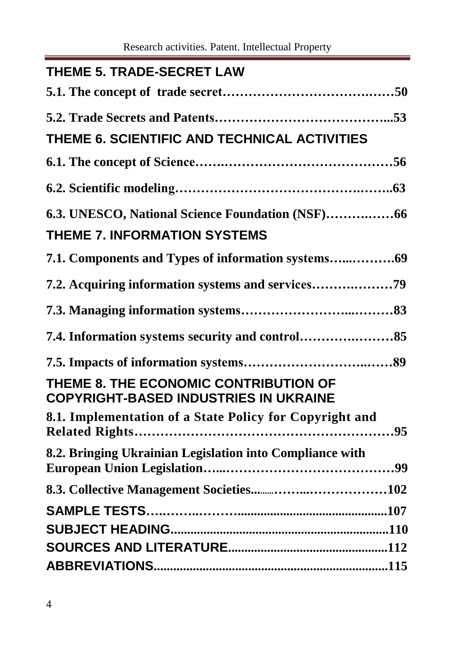Research activities. Patent. Intellectual Property

| <b>THEME 5. TRADE-SECRET LAW</b>                                                      |  |
|---------------------------------------------------------------------------------------|--|
|                                                                                       |  |
|                                                                                       |  |
| THEME 6. SCIENTIFIC AND TECHNICAL ACTIVITIES                                          |  |
|                                                                                       |  |
|                                                                                       |  |
|                                                                                       |  |
| <b>THEME 7. INFORMATION SYSTEMS</b>                                                   |  |
|                                                                                       |  |
| 7.2. Acquiring information systems and services                                       |  |
|                                                                                       |  |
|                                                                                       |  |
|                                                                                       |  |
| THEME 8. THE ECONOMIC CONTRIBUTION OF<br><b>COPYRIGHT-BASED INDUSTRIES IN UKRAINE</b> |  |
| 8.1. Implementation of a State Policy for Copyright and                               |  |
| 8.2. Bringing Ukrainian Legislation into Compliance with                              |  |
|                                                                                       |  |
|                                                                                       |  |
|                                                                                       |  |
|                                                                                       |  |
|                                                                                       |  |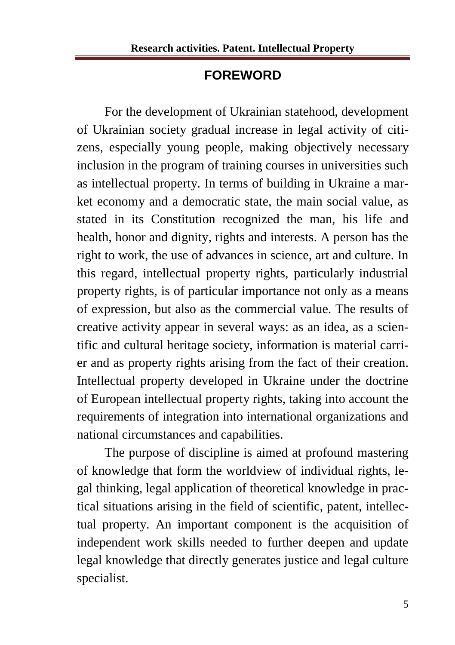#### **FOREWORD**

For the development of Ukrainian statehood, development of Ukrainian society gradual increase in legal activity of citizens, especially young people, making objectively necessary inclusion in the program of training courses in universities such as intellectual property. In terms of building in Ukraine a market economy and a democratic state, the main social value, as stated in its Constitution recognized the man, his life and health, honor and dignity, rights and interests. A person has the right to work, the use of advances in science, art and culture. In this regard, intellectual property rights, particularly industrial property rights, is of particular importance not only as a means of expression, but also as the commercial value. The results of creative activity appear in several ways: as an idea, as a scientific and cultural heritage society, information is material carrier and as property rights arising from the fact of their creation. Intellectual property developed in Ukraine under the doctrine of European intellectual property rights, taking into account the requirements of integration into international organizations and national circumstances and capabilities.

The purpose of discipline is aimed at profound mastering of knowledge that form the worldview of individual rights, legal thinking, legal application of theoretical knowledge in practical situations arising in the field of scientific, patent, intellectual property. An important component is the acquisition of independent work skills needed to further deepen and update legal knowledge that directly generates justice and legal culture specialist.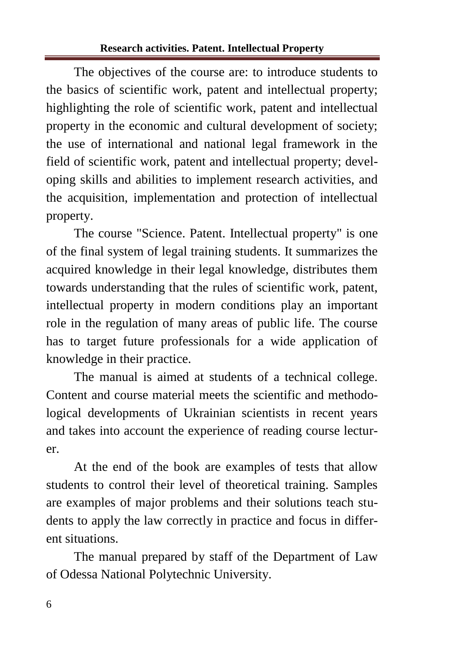#### **Research activities. Patent. Intellectual Property**

The objectives of the course are: to introduce students to the basics of scientific work, patent and intellectual property; highlighting the role of scientific work, patent and intellectual property in the economic and cultural development of society; the use of international and national legal framework in the field of scientific work, patent and intellectual property; developing skills and abilities to implement research activities, and the acquisition, implementation and protection of intellectual property.

The course "Science. Patent. Intellectual property" is one of the final system of legal training students. It summarizes the acquired knowledge in their legal knowledge, distributes them towards understanding that the rules of scientific work, patent, intellectual property in modern conditions play an important role in the regulation of many areas of public life. The course has to target future professionals for a wide application of knowledge in their practice.

The manual is aimed at students of a technical college. Content and course material meets the scientific and methodological developments of Ukrainian scientists in recent years and takes into account the experience of reading course lecturer.

At the end of the book are examples of tests that allow students to control their level of theoretical training. Samples are examples of major problems and their solutions teach students to apply the law correctly in practice and focus in different situations.

The manual prepared by staff of the Department of Law of Odessa National Polytechnic University.